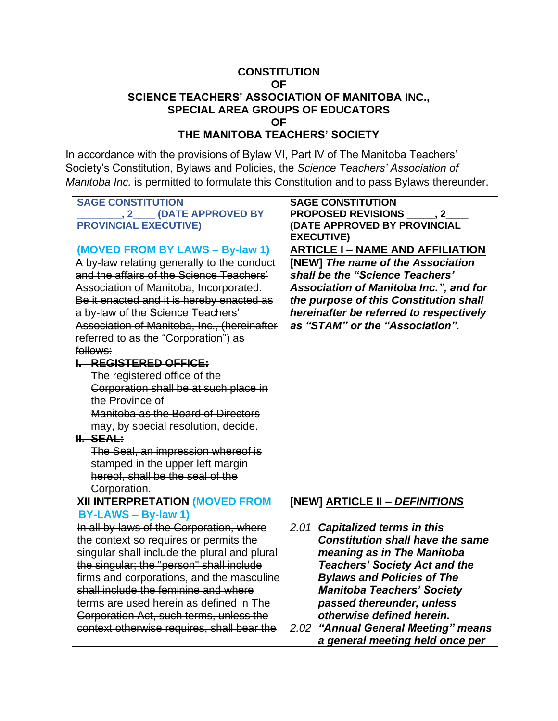#### **CONSTITUTION OF SCIENCE TEACHERS' ASSOCIATION OF MANITOBA INC., SPECIAL AREA GROUPS OF EDUCATORS OF THE MANITOBA TEACHERS' SOCIETY**

In accordance with the provisions of Bylaw VI, Part IV of The Manitoba Teachers' Society's Constitution, Bylaws and Policies, the *Science Teachers' Association of Manitoba Inc.* is permitted to formulate this Constitution and to pass Bylaws thereunder.

| <b>SAGE CONSTITUTION</b><br>, 2____ (DATE APPROVED BY   | <b>SAGE CONSTITUTION</b><br>PROPOSED REVISIONS _____, 2_ |
|---------------------------------------------------------|----------------------------------------------------------|
| <b>PROVINCIAL EXECUTIVE)</b>                            | (DATE APPROVED BY PROVINCIAL                             |
|                                                         | <b>EXECUTIVE)</b>                                        |
| (MOVED FROM BY LAWS - By-law 1)                         | <b>ARTICLE I - NAME AND AFFILIATION</b>                  |
| A by-law relating generally to the conduct              | [NEW] The name of the Association                        |
| and the affairs of the Science Teachers'                | shall be the "Science Teachers'                          |
| Association of Manitoba, Incorporated.                  | <b>Association of Manitoba Inc.", and for</b>            |
| Be it enacted and it is hereby enacted as               | the purpose of this Constitution shall                   |
| a by-law of the Science Teachers'                       | hereinafter be referred to respectively                  |
| Association of Manitoba, Inc., (hereinafter             | as "STAM" or the "Association".                          |
| referred to as the "Corporation") as                    |                                                          |
| follows:                                                |                                                          |
| I. REGISTERED OFFICE:                                   |                                                          |
| The registered office of the                            |                                                          |
| Corporation shall be at such place in                   |                                                          |
| the Province of<br>Manitoba as the Board of Directors   |                                                          |
|                                                         |                                                          |
| may, by special resolution, decide.<br><b>II. SEAL:</b> |                                                          |
| The Seal, an impression whereof is                      |                                                          |
| stamped in the upper left margin                        |                                                          |
| hereof, shall be the seal of the                        |                                                          |
| Corporation.                                            |                                                          |
| XII INTERPRETATION (MOVED FROM                          | [NEW] ARTICLE II - DEFINITIONS                           |
| BY-LAWS - By-law 1)                                     |                                                          |
| In all by-laws of the Corporation, where                | 2.01 Capitalized terms in this                           |
| the context so requires or permits the                  | <b>Constitution shall have the same</b>                  |
| singular shall include the plural and plural            | meaning as in The Manitoba                               |
| the singular; the "person" shall include                | <b>Teachers' Society Act and the</b>                     |
| firms and corporations, and the masculine               | <b>Bylaws and Policies of The</b>                        |
| shall include the feminine and where                    | <b>Manitoba Teachers' Society</b>                        |
| terms are used herein as defined in The                 | passed thereunder, unless                                |
| Corporation Act, such terms, unless the                 | otherwise defined herein.                                |
| context otherwise requires, shall bear the              | "Annual General Meeting" means<br>2.02                   |
|                                                         | a general meeting held once per                          |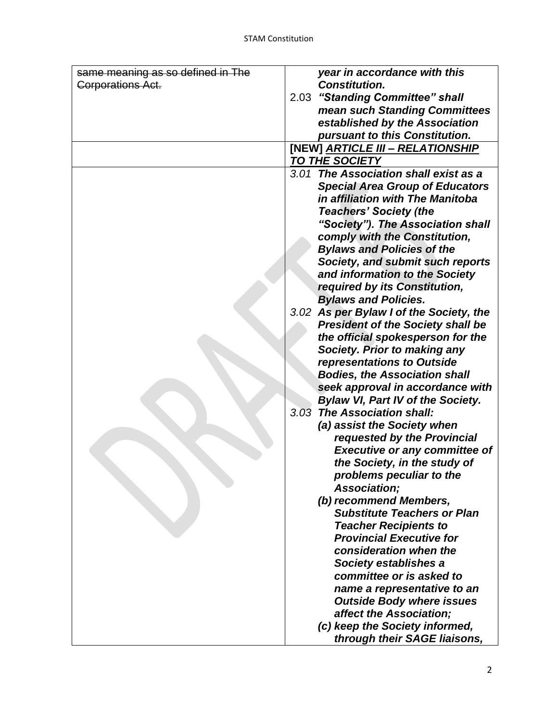| same meaning as so defined in The | year in accordance with this                                                              |
|-----------------------------------|-------------------------------------------------------------------------------------------|
| <b>Corporations Act.</b>          | <b>Constitution.</b>                                                                      |
|                                   | 2.03 "Standing Committee" shall                                                           |
|                                   | mean such Standing Committees                                                             |
|                                   | established by the Association                                                            |
|                                   | pursuant to this Constitution.                                                            |
|                                   | [NEW] ARTICLE III - RELATIONSHIP                                                          |
|                                   | TO THE SOCIETY                                                                            |
|                                   | 3.01 The Association shall exist as a                                                     |
|                                   | <b>Special Area Group of Educators</b>                                                    |
|                                   | in affiliation with The Manitoba                                                          |
|                                   | <b>Teachers' Society (the</b>                                                             |
|                                   | "Society"). The Association shall                                                         |
|                                   | comply with the Constitution,                                                             |
|                                   | <b>Bylaws and Policies of the</b>                                                         |
|                                   | Society, and submit such reports                                                          |
|                                   | and information to the Society                                                            |
|                                   | required by its Constitution,                                                             |
|                                   | <b>Bylaws and Policies.</b>                                                               |
|                                   | 3.02 As per Bylaw I of the Society, the                                                   |
|                                   | <b>President of the Society shall be</b>                                                  |
|                                   | the official spokesperson for the                                                         |
|                                   | <b>Society. Prior to making any</b>                                                       |
|                                   | representations to Outside                                                                |
|                                   | <b>Bodies, the Association shall</b>                                                      |
|                                   | seek approval in accordance with                                                          |
|                                   | <b>Bylaw VI, Part IV of the Society.</b>                                                  |
|                                   | 3.03 The Association shall:                                                               |
|                                   | (a) assist the Society when                                                               |
|                                   | requested by the Provincial                                                               |
|                                   | <b>Executive or any committee of</b>                                                      |
|                                   | the Society, in the study of                                                              |
|                                   | problems peculiar to the                                                                  |
|                                   | Association;                                                                              |
|                                   | (b) recommend Members,<br><b>Substitute Teachers or Plan</b>                              |
|                                   | <b>Teacher Recipients to</b>                                                              |
|                                   | <b>Provincial Executive for</b>                                                           |
|                                   | consideration when the                                                                    |
|                                   | <b>Society establishes a</b>                                                              |
|                                   | committee or is asked to                                                                  |
|                                   | name a representative to an                                                               |
|                                   | <b>Outside Body where issues</b>                                                          |
|                                   |                                                                                           |
|                                   |                                                                                           |
|                                   |                                                                                           |
|                                   | affect the Association;<br>(c) keep the Society informed,<br>through their SAGE liaisons, |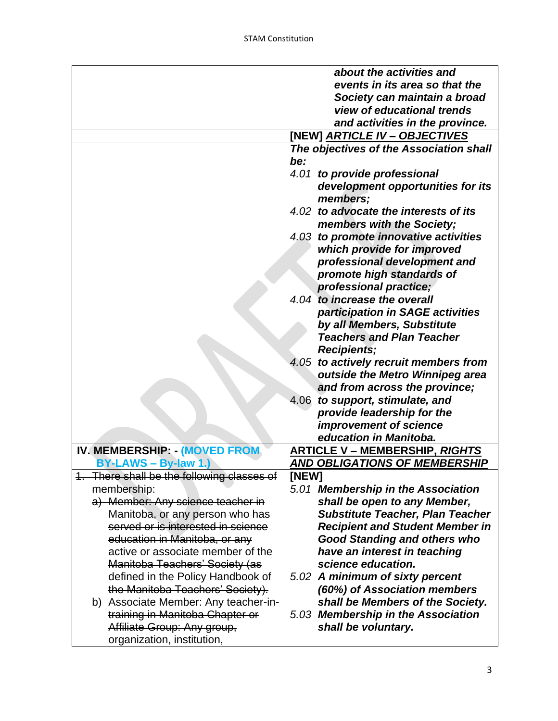|                                            | about the activities and                |
|--------------------------------------------|-----------------------------------------|
|                                            | events in its area so that the          |
|                                            | Society can maintain a broad            |
|                                            | view of educational trends              |
|                                            | and activities in the province.         |
|                                            |                                         |
|                                            |                                         |
|                                            | The objectives of the Association shall |
|                                            | be:                                     |
|                                            | 4.01<br>to provide professional         |
|                                            | development opportunities for its       |
|                                            | members;                                |
|                                            | 4.02 to advocate the interests of its   |
|                                            | members with the Society;               |
|                                            | 4.03 to promote innovative activities   |
|                                            | which provide for improved              |
|                                            | professional development and            |
|                                            | promote high standards of               |
|                                            | professional practice;                  |
|                                            | 4.04 to increase the overall            |
|                                            | participation in SAGE activities        |
|                                            | by all Members, Substitute              |
|                                            | <b>Teachers and Plan Teacher</b>        |
|                                            | <b>Recipients;</b>                      |
|                                            | 4.05 to actively recruit members from   |
|                                            | outside the Metro Winnipeg area         |
|                                            | and from across the province;           |
|                                            | 4.06<br>to support, stimulate, and      |
|                                            | provide leadership for the              |
|                                            | improvement of science                  |
|                                            | education in Manitoba.                  |
| IV. MEMBERSHIP: (MOVED FROM                | <b>ARTICLE V - MEMBERSHIP, RIGHTS</b>   |
| BY-LAWS - By-law 1.)                       | <b>AND OBLIGATIONS OF MEMBERSHIP</b>    |
| 1. There shall be the following classes of | [NEW]                                   |
| membership:                                | 5.01 Membership in the Association      |
| a) Member: Any science teacher in          | shall be open to any Member,            |
| Manitoba, or any person who has            | <b>Substitute Teacher, Plan Teacher</b> |
| served or is interested in science         | <b>Recipient and Student Member in</b>  |
| education in Manitoba, or any              | <b>Good Standing and others who</b>     |
| active or associate member of the          | have an interest in teaching            |
| Manitoba Teachers' Society (as             | science education.                      |
| defined in the Policy Handbook of          | 5.02 A minimum of sixty percent         |
| the Manitoba Teachers' Society).           | (60%) of Association members            |
| b) Associate Member: Any teacher-in-       | shall be Members of the Society.        |
| training in Manitoba Chapter or            | 5.03 Membership in the Association      |
|                                            |                                         |
| Affiliate Group: Any group,                | shall be voluntary.                     |
| organization, institution,                 |                                         |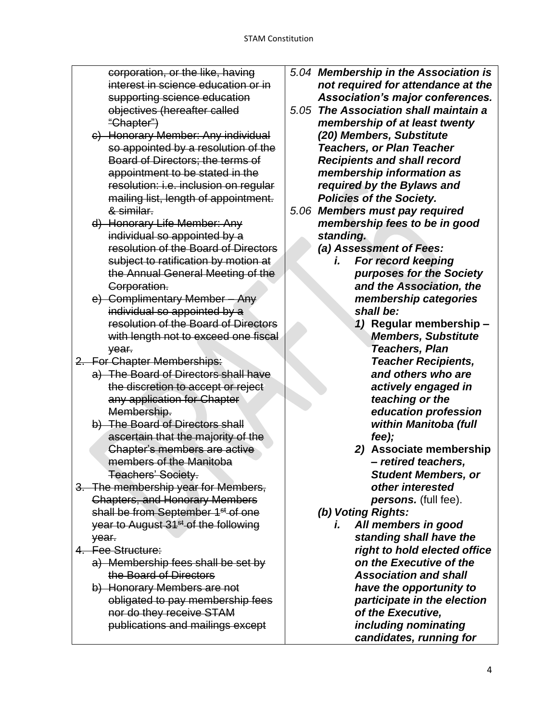corporation, or the like, having interest in science education or in supporting science education objectives (hereafter called "Chapter")

- c) Honorary Member: Any individual so appointed by a resolution of the Board of Directors; the terms of appointment to be stated in the resolution: i.e. inclusion on regular mailing list, length of appointment. & similar.
- d) Honorary Life Member: Any individual so appointed by a resolution of the Board of Directors subject to ratification by motion at the Annual General Meeting of the Corporation.
- e) Complimentary Member Any individual so appointed by a resolution of the Board of Directors with length not to exceed one fiscal year.
- 2. For Chapter Memberships:
	- a) The Board of Directors shall have the discretion to accept or reject any application for Chapter Membership.
	- b) The Board of Directors shall ascertain that the majority of the Chapter's members are active members of the Manitoba Teachers' Society.
- 3. The membership year for Members, Chapters, and Honorary Members shall be from September 1<sup>st</sup> of one year to August 31<sup>st</sup> of the following year.
- 4. Fee Structure:
	- a) Membership fees shall be set by the Board of Directors
	- b) Honorary Members are not obligated to pay membership fees nor do they receive STAM publications and mailings except
- *5.04 Membership in the Association is not required for attendance at the Association's major conferences.*
- *5.05 The Association shall maintain a membership of at least twenty (20) Members, Substitute Teachers, or Plan Teacher Recipients and shall record membership information as required by the Bylaws and Policies of the Society.*
- *5.06 Members must pay required membership fees to be in good standing.*
	- *(a) Assessment of Fees:*
		- *i. For record keeping purposes for the Society and the Association, the membership categories shall be:*
			- *1)* **Regular membership** *– Members, Substitute Teachers, Plan Teacher Recipients, and others who are actively engaged in teaching or the education profession within Manitoba (full fee);*
			- *2)* **Associate membership** *– retired teachers, Student Members, or other interested persons.* (full fee).
	- *(b) Voting Rights:*
		- *i. All members in good standing shall have the right to hold elected office on the Executive of the Association and shall have the opportunity to participate in the election of the Executive, including nominating candidates, running for*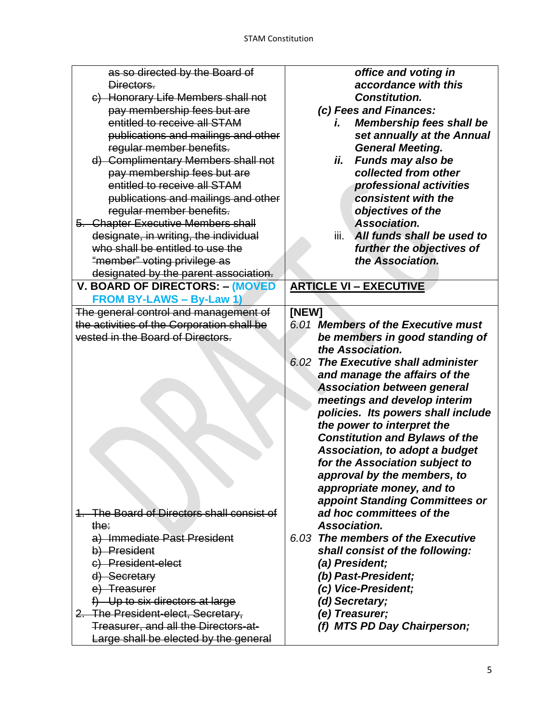| as so directed by the Board of              | office and voting in                              |
|---------------------------------------------|---------------------------------------------------|
| Directors.                                  | accordance with this                              |
| c) Honorary Life Members shall not          | <b>Constitution.</b>                              |
| pay membership fees but are                 | (c) Fees and Finances:                            |
| entitled to receive all STAM                | <b>Membership fees shall be</b><br>i.             |
| publications and mailings and other         | set annually at the Annual                        |
| regular member benefits.                    | <b>General Meeting.</b>                           |
| d) Complimentary Members shall not          | Funds may also be<br>ii.                          |
| pay membership fees but are                 | collected from other                              |
| entitled to receive all STAM                | professional activities                           |
| publications and mailings and other         | consistent with the                               |
| regular member benefits.                    | objectives of the                                 |
| 5. Chapter Executive Members shall          | Association.                                      |
| designate, in writing, the individual       | All funds shall be used to<br>iii.                |
| who shall be entitled to use the            | further the objectives of                         |
| "member" voting privilege as                | the Association.                                  |
| designated by the parent association.       |                                                   |
| V. BOARD OF DIRECTORS: - (MOVED             | <b>ARTICLE VI - EXECUTIVE</b>                     |
| <b>FROM BY-LAWS - By-Law 1)</b>             |                                                   |
| The general control and management of       | [NEW]                                             |
| the activities of the Corporation shall be  | 6.01 Members of the Executive must                |
| vested in the Board of Directors.           | be members in good standing of                    |
|                                             | the Association.                                  |
|                                             | <b>The Executive shall administer</b><br>6.02     |
|                                             | and manage the affairs of the                     |
|                                             | <b>Association between general</b>                |
|                                             | meetings and develop interim                      |
|                                             | policies. Its powers shall include                |
|                                             | the power to interpret the                        |
|                                             | <b>Constitution and Bylaws of the</b>             |
|                                             | <b>Association, to adopt a budget</b>             |
|                                             | for the Association subject to                    |
|                                             | approval by the members, to                       |
|                                             | appropriate money, and to                         |
|                                             | appoint Standing Committees or                    |
| 1. The Board of Directors shall consist of  | ad hoc committees of the                          |
| the:                                        | Association.<br>6.03 The members of the Executive |
| a) Immediate Past President<br>b) President |                                                   |
| c) President-elect                          | shall consist of the following:                   |
| d) Secretary                                | (a) President;<br>(b) Past-President;             |
| e) Treasurer                                | (c) Vice-President;                               |
| f) Up to six directors at large             | (d) Secretary;                                    |
| 2. The President-elect, Secretary,          | (e) Treasurer;                                    |
| Treasurer, and all the Directors-at-        |                                                   |
|                                             | (f) MTS PD Day Chairperson;                       |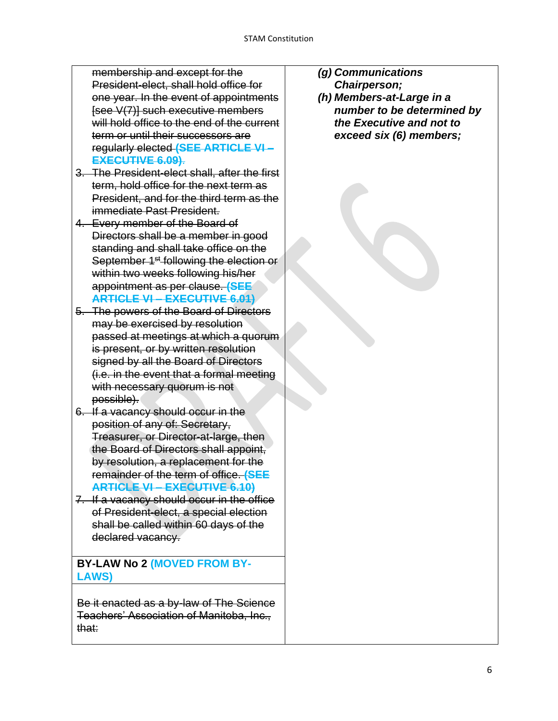membership and except for the President-elect, shall hold office for one year. In the event of appointments [see V(7)] such executive members will hold office to the end of the current term or until their successors are regularly elected **(SEE ARTICLE VI – EXECUTIVE 6.09)**.

- 3. The President-elect shall, after the first term, hold office for the next term as President, and for the third term as the immediate Past President.
- 4. Every member of the Board of Directors shall be a member in good standing and shall take office on the September 1<sup>st</sup> following the election or within two weeks following his/her appointment as per clause. **(SEE ARTICLE VI – EXECUTIVE 6.01)**
- 5. The powers of the Board of Directors may be exercised by resolution passed at meetings at which a quorum is present, or by written resolution signed by all the Board of Directors (i.e. in the event that a formal meeting with necessary quorum is not possible).
- 6. If a vacancy should occur in the position of any of: Secretary, Treasurer, or Director-at-large, then the Board of Directors shall appoint, by resolution, a replacement for the remainder of the term of office. **(SEE ARTICLE VI – EXECUTIVE 6.10)**
- 7. If a vacancy should occur in the office of President-elect, a special election shall be called within 60 days of the declared vacancy.

**BY-LAW No 2 (MOVED FROM BY-LAWS)**

Be it enacted as a by-law of The Science Teachers' Association of Manitoba, Inc., that:

- *(g) Communications* 
	- *Chairperson;*
- *(h) Members-at-Large in a number to be determined by the Executive and not to exceed six (6) members;*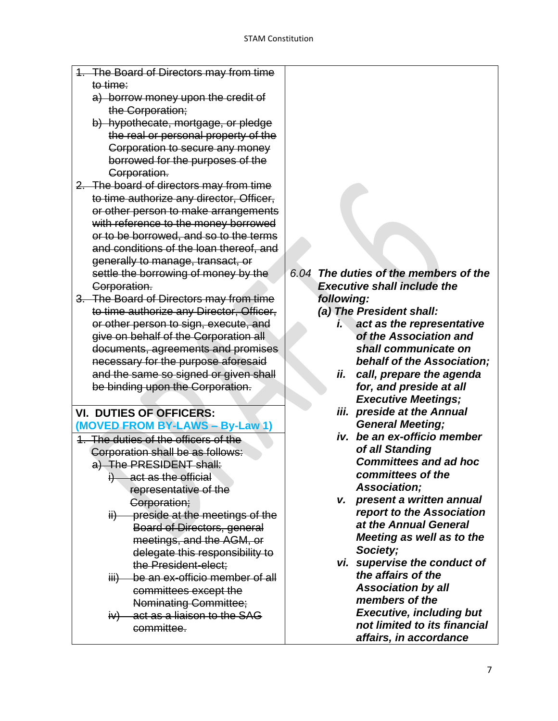- 1. The Board of Directors may from time to time:
	- a) borrow money upon the credit of the Corporation;
	- b) hypothecate, mortgage, or pledge the real or personal property of the Corporation to secure any money borrowed for the purposes of the Corporation.
- 2. The board of directors may from time to time authorize any director, Officer, or other person to make arrangements with reference to the money borrowed or to be borrowed, and so to the terms and conditions of the loan thereof, and generally to manage, transact, or settle the borrowing of money by the Corporation.
- 3. The Board of Directors may from time to time authorize any Director, Officer, or other person to sign, execute, and give on behalf of the Corporation all documents, agreements and promises necessary for the purpose aforesaid and the same so signed or given shall be binding upon the Corporation.

#### **VI. DUTIES OF OFFICERS: (MOVED FROM BY-LAWS – By-Law 1)**

- 1. The duties of the officers of the Corporation shall be as follows: a) The PRESIDENT shall:
	- i) act as the official representative of the Corporation;
	- ii) preside at the meetings of the Board of Directors, general meetings, and the AGM, or delegate this responsibility to the President-elect;
	- iii) be an ex-officio member of all committees except the Nominating Committee;
	- iv) act as a liaison to the SAG committee.

*6.04 The duties of the members of the Executive shall include the following:*

*(a) The President shall:*

- *i. act as the representative of the Association and shall communicate on behalf of the Association;*
- *ii. call, prepare the agenda for, and preside at all Executive Meetings;*
- *iii. preside at the Annual General Meeting;*
- *iv. be an ex-officio member of all Standing Committees and ad hoc committees of the Association;*
- *v. present a written annual report to the Association at the Annual General Meeting as well as to the Society;*
- *vi. supervise the conduct of the affairs of the Association by all members of the Executive, including but not limited to its financial affairs, in accordance*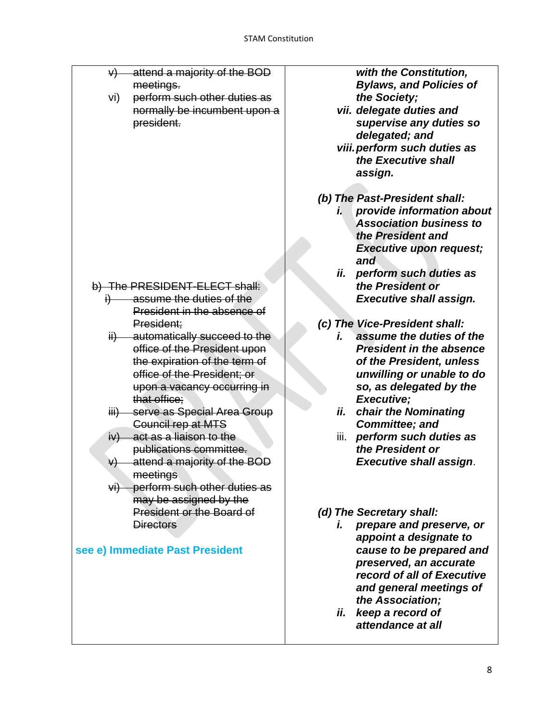| ₩)        | attend a majority of the BOD            |  |
|-----------|-----------------------------------------|--|
|           | meetings.                               |  |
| vi)       | perform such other duties as            |  |
|           | normally be incumbent upon a            |  |
|           | president.                              |  |
|           |                                         |  |
|           |                                         |  |
|           |                                         |  |
|           |                                         |  |
|           |                                         |  |
|           |                                         |  |
|           |                                         |  |
|           |                                         |  |
|           |                                         |  |
|           |                                         |  |
|           |                                         |  |
|           |                                         |  |
|           | b) The PRESIDENT-ELECT shall:           |  |
| $\dagger$ | assume the duties of the                |  |
|           | President in the absence of             |  |
|           | President;                              |  |
|           | ii) automatically succeed to the        |  |
|           | office of the President upon            |  |
|           | the expiration of the term of           |  |
|           | office of the President; or             |  |
|           | upon a vacancy occurring in             |  |
|           | that office;                            |  |
|           | iii) serve as Special Area Group        |  |
|           | <b>Council rep at MTS</b>               |  |
|           | $iv)$ act as a liaison to the           |  |
|           | publications committee.                 |  |
|           | $\sqrt{v}$ attend a majority of the BOD |  |
|           |                                         |  |
|           | meetings                                |  |
|           | vi) perform such other duties as        |  |
|           | may be assigned by the                  |  |
|           | <b>President or the Board of</b>        |  |
|           | <b>Directors</b>                        |  |
|           |                                         |  |
|           | see e) Immediate Past President         |  |
|           |                                         |  |
|           |                                         |  |
|           |                                         |  |
|           |                                         |  |
|           |                                         |  |
|           |                                         |  |
|           |                                         |  |

*with the Constitution, Bylaws, and Policies of the Society;*

- *vii. delegate duties and supervise any duties so delegated; and viii.perform such duties as*
- *the Executive shall assign.*
- *(b) The Past-President shall:*
	- *i. provide information about Association business to the President and Executive upon request; and*
	- *ii. perform such duties as the President or Executive shall assign.*
- *(c) The Vice-President shall:*
	- *i. assume the duties of the President in the absence of the President, unless unwilling or unable to do so, as delegated by the Executive;*
	- *ii. chair the Nominating Committee; and*
	- iii. *perform such duties as the President or Executive shall assign*.

# *(d) The Secretary shall:*

- *i. prepare and preserve, or appoint a designate to cause to be prepared and preserved, an accurate record of all of Executive and general meetings of the Association;*
	- *ii. keep a record of attendance at all*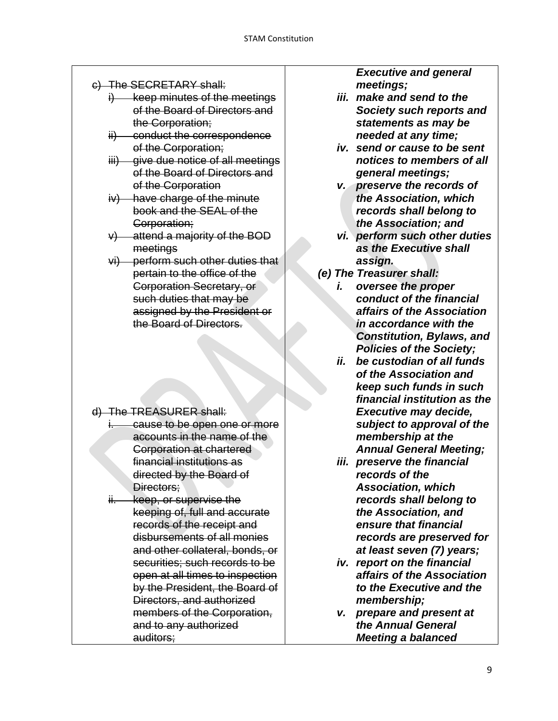- c) The SECRETARY shall:
	- keep minutes of the meetings of the Board of Directors and the Corporation;
	- ii) conduct the correspondence of the Corporation;
	- iii) give due notice of all meetings of the Board of Directors and of the Corporation
	- iv) have charge of the minute book and the SEAL of the Corporation;
	- v) attend a majority of the BOD meetings
	- vi) perform such other duties that pertain to the office of the Corporation Secretary, or such duties that may be assigned by the President or the Board of Directors.

- d) The TREASURER shall:
	- i. cause to be open one or more accounts in the name of the Corporation at chartered financial institutions as directed by the Board of Directors:
	- ii. keep, or supervise the keeping of, full and accurate records of the receipt and disbursements of all monies and other collateral, bonds, or securities; such records to be open at all times to inspection by the President, the Board of Directors, and authorized members of the Corporation, and to any authorized auditors;

*Executive and general meetings;*

- *iii. make and send to the Society such reports and statements as may be needed at any time;*
- *iv. send or cause to be sent notices to members of all general meetings;*
- *v. preserve the records of the Association, which records shall belong to the Association; and*
- *vi. perform such other duties as the Executive shall assign.*
- *(e) The Treasurer shall:*
	- *i. oversee the proper conduct of the financial affairs of the Association in accordance with the Constitution, Bylaws, and Policies of the Society;*
	- *ii. be custodian of all funds of the Association and keep such funds in such financial institution as the Executive may decide, subject to approval of the membership at the Annual General Meeting;*
	- *iii. preserve the financial records of the Association, which records shall belong to the Association, and ensure that financial records are preserved for at least seven (7) years;*
	- *iv. report on the financial affairs of the Association to the Executive and the membership;*
	- *v. prepare and present at the Annual General Meeting a balanced*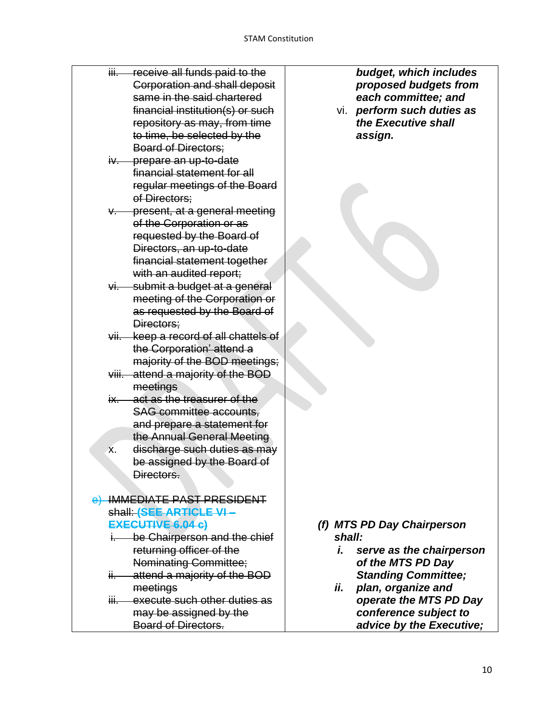- iii. receive all funds paid to the Corporation and shall deposit same in the said chartered financial institution(s) or such repository as may, from time to time, be selected by the Board of Directors;
- iv. prepare an up-to-date financial statement for all regular meetings of the Board of Directors;
- **present, at a general meeting** of the Corporation or as requested by the Board of Directors, an up-to-date financial statement together with an audited report;
- vi. submit a budget at a general meeting of the Corporation or as requested by the Board of Directors;
- vii. keep a record of all chattels of the Corporation' attend a majority of the BOD meetings;
- viii. attend a majority of the BOD meetings
- ix. act as the treasurer of the SAG committee accounts, and prepare a statement for the Annual General Meeting
- x. discharge such duties as may be assigned by the Board of Directors.

### e) IMMEDIATE PAST PRESIDENT shall: **(SEE ARTICLE VI – EXECUTIVE 6.04 c)**

- i. be Chairperson and the chief returning officer of the Nominating Committee;
- ii. attend a majority of the BOD meetings
- iii. execute such other duties as may be assigned by the Board of Directors.

*budget, which includes proposed budgets from each committee; and*

vi. *perform such duties as the Executive shall assign.*

- *(f) MTS PD Day Chairperson shall:*
	- *i. serve as the chairperson of the MTS PD Day Standing Committee;*
	- *ii. plan, organize and operate the MTS PD Day conference subject to advice by the Executive;*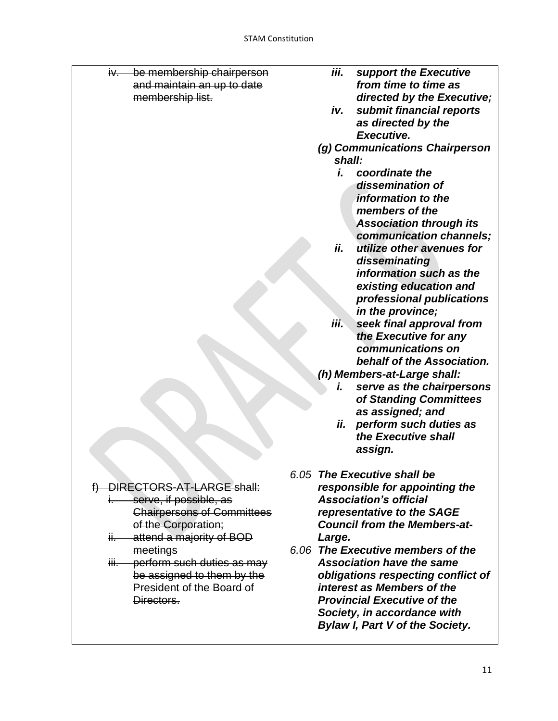| be membership chairperson<br>iv—  | iii.<br>support the Executive          |
|-----------------------------------|----------------------------------------|
| and maintain an up to date        | from time to time as                   |
| membership list.                  | directed by the Executive;             |
|                                   | submit financial reports<br>iv.        |
|                                   | as directed by the                     |
|                                   | Executive.                             |
|                                   | (g) Communications Chairperson         |
|                                   | shall:                                 |
|                                   | coordinate the<br>i.                   |
|                                   | dissemination of                       |
|                                   | information to the                     |
|                                   | members of the                         |
|                                   | <b>Association through its</b>         |
|                                   | communication channels;                |
|                                   | ii.<br>utilize other avenues for       |
|                                   | disseminating                          |
|                                   | information such as the                |
|                                   | existing education and                 |
|                                   | professional publications              |
|                                   | in the province;                       |
|                                   | iii.<br>seek final approval from       |
|                                   | the Executive for any                  |
|                                   | communications on                      |
|                                   | behalf of the Association.             |
|                                   | (h) Members-at-Large shall:            |
|                                   | serve as the chairpersons<br>i.        |
|                                   | of Standing Committees                 |
|                                   | as assigned; and                       |
|                                   | ii.<br>perform such duties as          |
|                                   | the Executive shall                    |
|                                   | assign.                                |
|                                   |                                        |
|                                   | 6.05 The Executive shall be            |
| DIRECTORS-AT-LARGE shall:         | responsible for appointing the         |
| serve, if possible, as            | <b>Association's official</b>          |
| <b>Chairpersons of Committees</b> | representative to the SAGE             |
| of the Corporation;               | <b>Council from the Members-at-</b>    |
| attend a majority of BOD<br>ii—   | Large.                                 |
| meetings                          | 6.06 The Executive members of the      |
| iii. perform such duties as may   | <b>Association have the same</b>       |
| be assigned to them by the        | obligations respecting conflict of     |
| President of the Board of         | interest as Members of the             |
| Directors.                        | <b>Provincial Executive of the</b>     |
|                                   | Society, in accordance with            |
|                                   | <b>Bylaw I, Part V of the Society.</b> |
|                                   |                                        |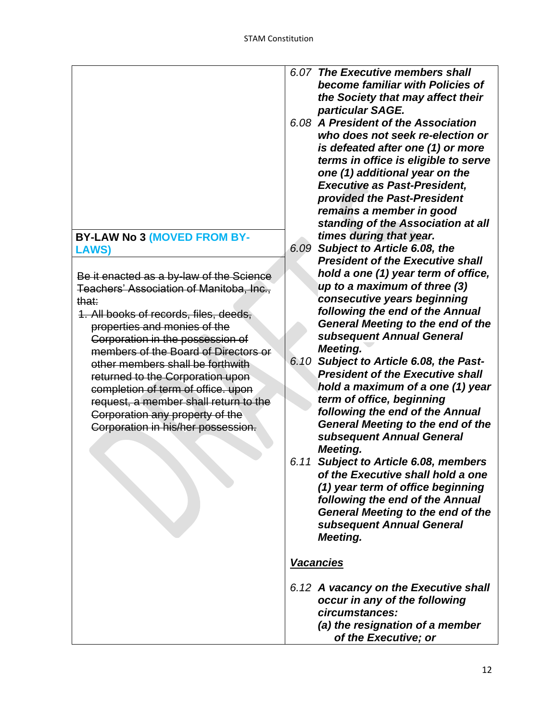| become familiar with Policies of                |
|-------------------------------------------------|
| the Society that may affect their               |
| particular SAGE.                                |
| 6.08 A President of the Association             |
| who does not seek re-election or                |
| is defeated after one (1) or more               |
| terms in office is eligible to serve            |
| one (1) additional year on the                  |
| <b>Executive as Past-President,</b>             |
| provided the Past-President                     |
| remains a member in good                        |
| standing of the Association at all              |
| times during that year.                         |
| Subject to Article 6.08, the<br>6.09            |
| <b>President of the Executive shall</b>         |
| hold a one (1) year term of office,             |
| up to a maximum of three (3)                    |
| consecutive years beginning                     |
| following the end of the Annual                 |
| <b>General Meeting to the end of the</b>        |
| subsequent Annual General                       |
| Meeting.                                        |
| 6.10 Subject to Article 6.08, the Past-         |
| <b>President of the Executive shall</b>         |
| hold a maximum of a one (1) year                |
| term of office, beginning                       |
| following the end of the Annual                 |
| <b>General Meeting to the end of the</b>        |
| subsequent Annual General                       |
| Meeting.                                        |
| <b>Subject to Article 6.08, members</b><br>6.11 |
| of the Executive shall hold a one               |
| (1) year term of office beginning               |
| following the end of the Annual                 |
| <b>General Meeting to the end of the</b>        |
| subsequent Annual General                       |
| Meeting.                                        |
| <u>Vacancies</u>                                |
|                                                 |
| 6.12 A vacancy on the Executive shall           |
| occur in any of the following                   |
| circumstances:                                  |
| (a) the resignation of a member                 |
| of the Executive; or                            |
|                                                 |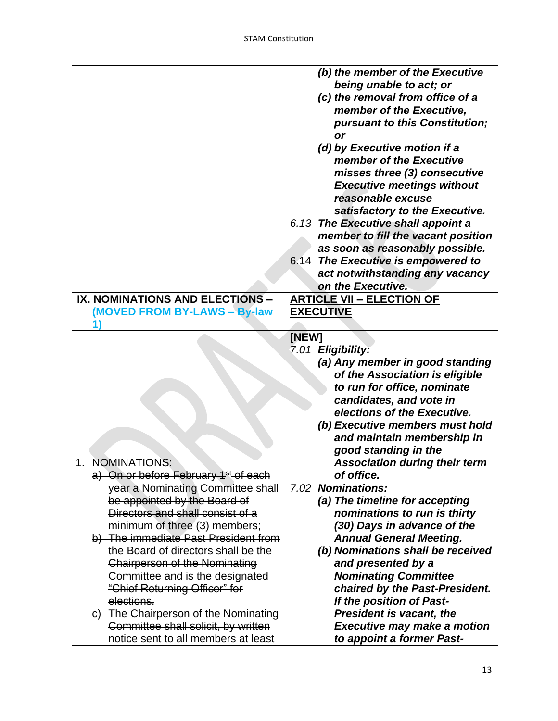|                                                  | (b) the member of the Executive      |
|--------------------------------------------------|--------------------------------------|
|                                                  | being unable to act; or              |
|                                                  |                                      |
|                                                  | (c) the removal from office of a     |
|                                                  | member of the Executive,             |
|                                                  | pursuant to this Constitution;       |
|                                                  | or                                   |
|                                                  | (d) by Executive motion if a         |
|                                                  | member of the Executive              |
|                                                  | misses three (3) consecutive         |
|                                                  | <b>Executive meetings without</b>    |
|                                                  | reasonable excuse                    |
|                                                  | satisfactory to the Executive.       |
|                                                  | 6.13 The Executive shall appoint a   |
|                                                  | member to fill the vacant position   |
|                                                  | as soon as reasonably possible.      |
|                                                  | 6.14 The Executive is empowered to   |
|                                                  |                                      |
|                                                  | act notwithstanding any vacancy      |
|                                                  | on the Executive.                    |
| IX. NOMINATIONS AND ELECTIONS -                  | <b>ARTICLE VII - ELECTION OF</b>     |
| (MOVED FROM BY-LAWS - By-law                     | <b>EXECUTIVE</b>                     |
|                                                  |                                      |
|                                                  | [NEW]                                |
|                                                  | 7.01 Eligibility:                    |
|                                                  |                                      |
|                                                  | (a) Any member in good standing      |
|                                                  | of the Association is eligible       |
|                                                  | to run for office, nominate          |
|                                                  | candidates, and vote in              |
|                                                  | elections of the Executive.          |
|                                                  |                                      |
|                                                  | (b) Executive members must hold      |
|                                                  | and maintain membership in           |
|                                                  | good standing in the                 |
| <b>NOMINATIONS:</b>                              | <b>Association during their term</b> |
| a) On or before February 1 <sup>st</sup> of each | of office.                           |
| year a Nominating Committee shall                | 7.02 Nominations:                    |
| be appointed by the Board of                     | (a) The timeline for accepting       |
| Directors and shall consist of a                 | nominations to run is thirty         |
| minimum of three (3) members;                    | (30) Days in advance of the          |
| b) The immediate Past President from             | <b>Annual General Meeting.</b>       |
| the Board of directors shall be the              | (b) Nominations shall be received    |
| <b>Chairperson of the Nominating</b>             | and presented by a                   |
| Committee and is the designated                  | <b>Nominating Committee</b>          |
| "Chief Returning Officer" for                    | chaired by the Past-President.       |
| elections.                                       | If the position of Past-             |
| c) The Chairperson of the Nominating             | <b>President is vacant, the</b>      |
| Committee shall solicit, by written              | <b>Executive may make a motion</b>   |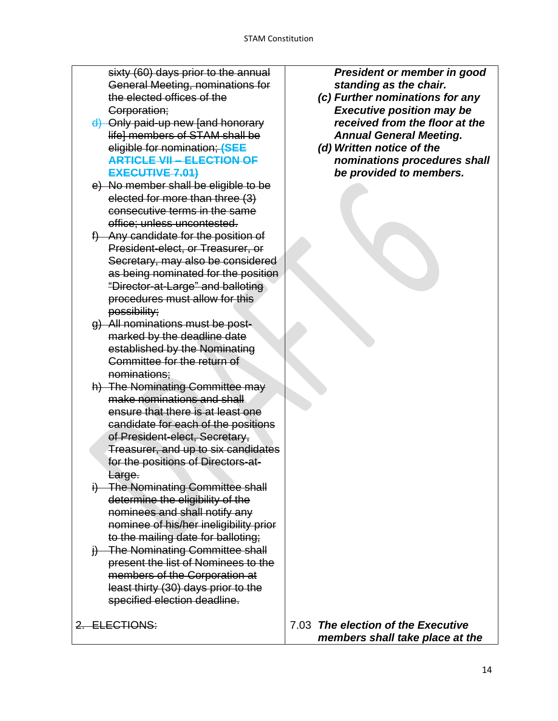sixty (60) days prior to the annual General Meeting, nominations for the elected offices of the Corporation;

- d) Only paid-up new [and honorary life] members of STAM shall be eligible for nomination; **(SEE ARTICLE VII – ELECTION OF EXECUTIVE 7.01)**
- e) No member shall be eligible to be elected for more than three (3) consecutive terms in the same office; unless uncontested.
- f) Any candidate for the position of President-elect, or Treasurer, or Secretary, may also be considered as being nominated for the position "Director-at-Large" and balloting procedures must allow for this possibility;
- g) All nominations must be postmarked by the deadline date established by the Nominating Committee for the return of nominations;
- h) The Nominating Committee may make nominations and shall ensure that there is at least one candidate for each of the positions of President-elect, Secretary, Treasurer, and up to six candidates for the positions of Directors-at-Large.
- i) The Nominating Committee shall determine the eligibility of the nominees and shall notify any nominee of his/her ineligibility prior to the mailing date for balloting;
- j) The Nominating Committee shall present the list of Nominees to the members of the Corporation at least thirty (30) days prior to the specified election deadline.

2. ELECTIONS:

*President or member in good standing as the chair.*

- *(c) Further nominations for any Executive position may be received from the floor at the Annual General Meeting.*
- *(d) Written notice of the nominations procedures shall be provided to members.*

7.03 *The election of the Executive members shall take place at the*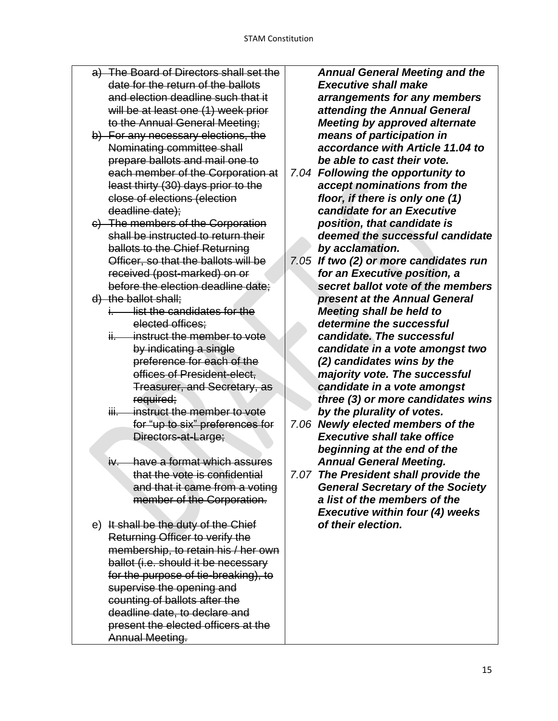- a) The Board of Directors shall set the date for the return of the ballots and election deadline such that it will be at least one (1) week prior to the Annual General Meeting;
- b) For any necessary elections, the Nominating committee shall prepare ballots and mail one to each member of the Corporation at least thirty (30) days prior to the close of elections (election deadline date);
- c) The members of the Corporation shall be instructed to return their ballots to the Chief Returning Officer, so that the ballots will be received (post-marked) on or before the election deadline date;
- d) the ballot shall;
	- i. list the candidates for the elected offices;
	- ii. instruct the member to vote by indicating a single preference for each of the offices of President-elect, Treasurer, and Secretary, as required;
	- iii. instruct the member to vote for "up to six" preferences for Directors-at-Large;
	- iv. have a format which assures that the vote is confidential and that it came from a voting member of the Corporation.
- e) It shall be the duty of the Chief Returning Officer to verify the membership, to retain his / her own ballot (i.e. should it be necessary for the purpose of tie-breaking), to supervise the opening and counting of ballots after the deadline date, to declare and present the elected officers at the Annual Meeting.

*Annual General Meeting and the Executive shall make arrangements for any members attending the Annual General Meeting by approved alternate means of participation in accordance with Article 11.04 to be able to cast their vote.*

- *7.04 Following the opportunity to accept nominations from the floor, if there is only one (1) candidate for an Executive position, that candidate is deemed the successful candidate by acclamation.*
- *7.05 If two (2) or more candidates run for an Executive position, a secret ballot vote of the members present at the Annual General Meeting shall be held to determine the successful candidate. The successful candidate in a vote amongst two (2) candidates wins by the majority vote. The successful candidate in a vote amongst three (3) or more candidates wins by the plurality of votes.*
- *7.06 Newly elected members of the Executive shall take office beginning at the end of the Annual General Meeting.*
- *7.07 The President shall provide the General Secretary of the Society a list of the members of the Executive within four (4) weeks of their election.*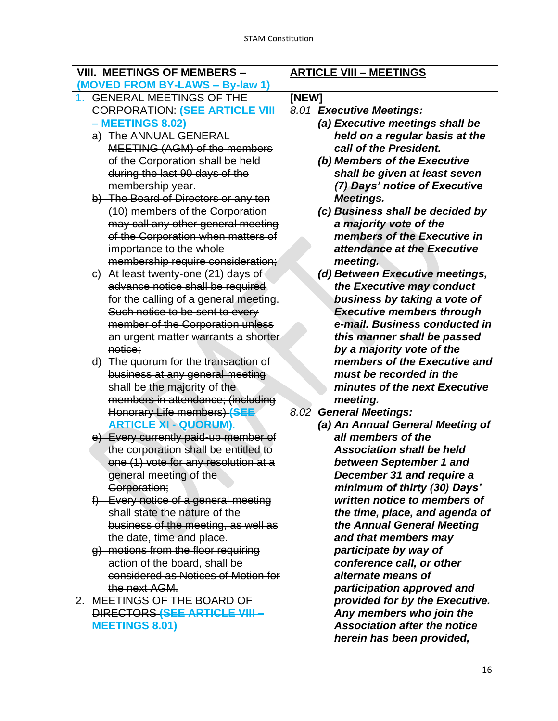| <b>VIII. MEETINGS OF MEMBERS -</b>    | <b>ARTICLE VIII - MEETINGS</b>      |
|---------------------------------------|-------------------------------------|
| (MOVED FROM BY-LAWS - By-law 1)       |                                     |
| <b>GENERAL MEETINGS OF THE</b>        | [NEW]                               |
| <b>CORPORATION: (SEE ARTICLE VIII</b> | 8.01 Executive Meetings:            |
| -MEETINGS 8.02)                       | (a) Executive meetings shall be     |
| a) The ANNUAL GENERAL                 | held on a regular basis at the      |
| MEETING (AGM) of the members          | call of the President.              |
| of the Corporation shall be held      | (b) Members of the Executive        |
| during the last 90 days of the        | shall be given at least seven       |
| membership year.                      | (7) Days' notice of Executive       |
| b) The Board of Directors or any ten  | Meetings.                           |
| (10) members of the Corporation       | (c) Business shall be decided by    |
| may call any other general meeting    | a majority vote of the              |
| of the Corporation when matters of    | members of the Executive in         |
| importance to the whole               | attendance at the Executive         |
| membership require consideration;     | meeting.                            |
| c) At least twenty-one (21) days of   | (d) Between Executive meetings,     |
| advance notice shall be required      | the Executive may conduct           |
| for the calling of a general meeting. | business by taking a vote of        |
| Such notice to be sent to every       | <b>Executive members through</b>    |
| member of the Corporation unless      | e-mail. Business conducted in       |
| an urgent matter warrants a shorter   | this manner shall be passed         |
| notice;                               | by a majority vote of the           |
| d) The quorum for the transaction of  | members of the Executive and        |
| business at any general meeting       | must be recorded in the             |
| shall be the majority of the          | minutes of the next Executive       |
| members in attendance; (including     | meeting.                            |
| <b>Honorary Life members) (SEE</b>    | 8.02<br><b>General Meetings:</b>    |
| <b>ARTICLE XI - QUORUM).</b>          | (a) An Annual General Meeting of    |
| e) Every currently paid-up member of  | all members of the                  |
| the corporation shall be entitled to  | <b>Association shall be held</b>    |
| one (1) vote for any resolution at a  | between September 1 and             |
| general meeting of the                | December 31 and require a           |
| Corporation;                          | minimum of thirty (30) Days'        |
| f) Every notice of a general meeting  | written notice to members of        |
| shall state the nature of the         | the time, place, and agenda of      |
| business of the meeting, as well as   | the Annual General Meeting          |
| the date, time and place.             | and that members may                |
| q) motions from the floor requiring   | participate by way of               |
| action of the board, shall be         | conference call, or other           |
| considered as Notices of Motion for   | alternate means of                  |
| the next AGM.                         | participation approved and          |
| 2. MEETINGS OF THE BOARD OF           | provided for by the Executive.      |
| DIRECTORS (SEE ARTICLE VIII-          | Any members who join the            |
| <b>MEETINGS 8.01)</b>                 | <b>Association after the notice</b> |
|                                       | herein has been provided,           |
|                                       |                                     |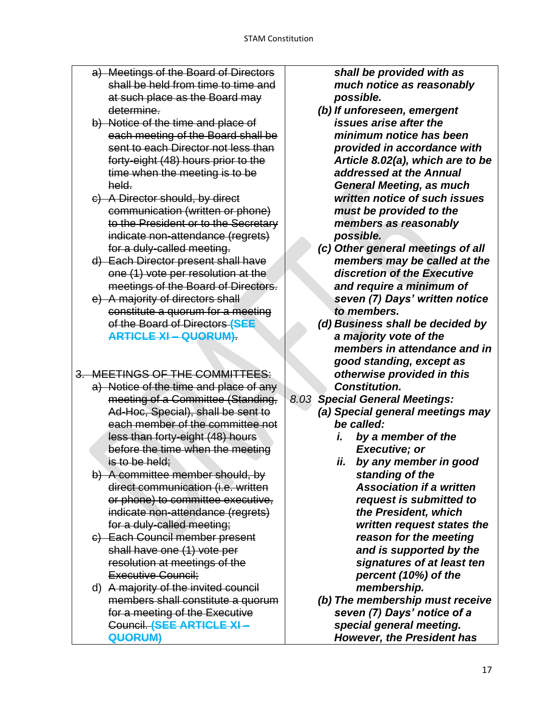- a) Meetings of the Board of Directors shall be held from time to time and at such place as the Board may determine.
- b) Notice of the time and place of each meeting of the Board shall be sent to each Director not less than forty-eight (48) hours prior to the time when the meeting is to be held.
- c) A Director should, by direct communication (written or phone) to the President or to the Secretary indicate non-attendance (regrets) for a duly-called meeting.
- d) Each Director present shall have one (1) vote per resolution at the meetings of the Board of Directors.
- e) A majority of directors shall constitute a quorum for a meeting of the Board of Directors **(SEE ARTICLE XI – QUORUM)**.

### 3. MEETINGS OF THE COMMITTEES:

- a) Notice of the time and place of any meeting of a Committee (Standing, Ad-Hoc, Special), shall be sent to each member of the committee not less than forty-eight (48) hours before the time when the meeting is to be held;
- b) A committee member should, by direct communication (i.e. written or phone) to committee executive, indicate non-attendance (regrets) for a duly-called meeting;
- c) Each Council member present shall have one (1) vote per resolution at meetings of the Executive Council;
- d) A majority of the invited council members shall constitute a quorum for a meeting of the Executive Council. **(SEE ARTICLE XI – QUORUM)**

*shall be provided with as much notice as reasonably possible.*

- *(b) If unforeseen, emergent issues arise after the minimum notice has been provided in accordance with Article 8.02(a), which are to be addressed at the Annual General Meeting, as much written notice of such issues must be provided to the members as reasonably possible.*
- *(c) Other general meetings of all members may be called at the discretion of the Executive and require a minimum of seven (7) Days' written notice to members.*
- *(d) Business shall be decided by a majority vote of the members in attendance and in good standing, except as otherwise provided in this Constitution.*
- *8.03 Special General Meetings:*
	- *(a) Special general meetings may be called:*
		- *i. by a member of the Executive; or*
		- *ii. by any member in good standing of the Association if a written request is submitted to the President, which written request states the reason for the meeting and is supported by the signatures of at least ten percent (10%) of the membership.*
	- *(b) The membership must receive seven (7) Days' notice of a special general meeting. However, the President has*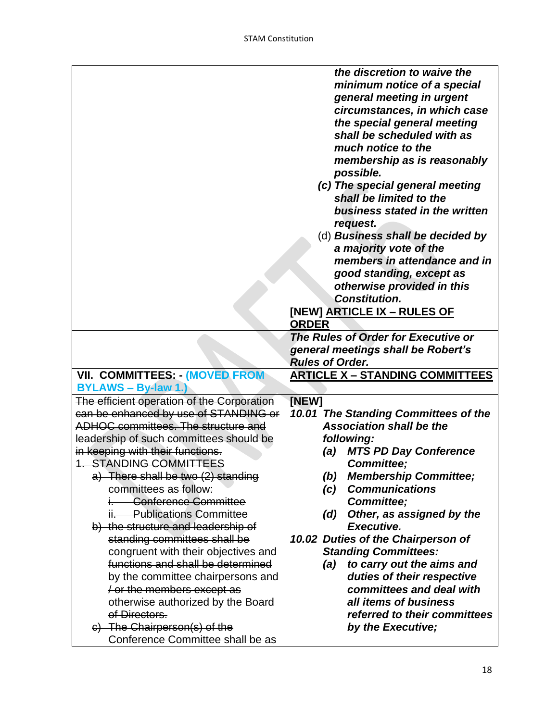|                                            | the discretion to waive the            |
|--------------------------------------------|----------------------------------------|
|                                            | minimum notice of a special            |
|                                            | general meeting in urgent              |
|                                            | circumstances, in which case           |
|                                            | the special general meeting            |
|                                            | shall be scheduled with as             |
|                                            | much notice to the                     |
|                                            | membership as is reasonably            |
|                                            |                                        |
|                                            | possible.                              |
|                                            | (c) The special general meeting        |
|                                            | shall be limited to the                |
|                                            | business stated in the written         |
|                                            | request.                               |
|                                            | (d) Business shall be decided by       |
|                                            | a majority vote of the                 |
|                                            | members in attendance and in           |
|                                            | good standing, except as               |
|                                            | otherwise provided in this             |
|                                            | <b>Constitution.</b>                   |
|                                            | [NEW] ARTICLE IX - RULES OF            |
|                                            | <b>ORDER</b>                           |
|                                            | The Rules of Order for Executive or    |
|                                            | general meetings shall be Robert's     |
|                                            | <b>Rules of Order.</b>                 |
| VII. COMMITTEES: (MOVED FROM               | <b>ARTICLE X - STANDING COMMITTEES</b> |
| <b>BYLAWS - By-law 1.)</b>                 |                                        |
| The efficient operation of the Corporation | [NEW]                                  |
| can be enhanced by use of STANDING or      | 10.01 The Standing Committees of the   |
| ADHOC committees. The structure and        | <b>Association shall be the</b>        |
| leadership of such committees should be    | following:                             |
| in keeping with their functions.           | <b>MTS PD Day Conference</b><br>(a)    |
| <b>1. STANDING COMMITTEES</b>              | <b>Committee:</b>                      |
| a) There shall be two (2) standing         | <b>Membership Committee;</b><br>(b)    |
| committees as follow:                      | <b>Communications</b>                  |
| i. Conference Committee                    | (c)                                    |
|                                            | <b>Committee:</b>                      |
| ii. Publications Committee                 | Other, as assigned by the<br>(d)       |
| b) the structure and leadership of         | Executive.                             |
| standing committees shall be               | 10.02 Duties of the Chairperson of     |
| congruent with their objectives and        | <b>Standing Committees:</b>            |
| functions and shall be determined          | to carry out the aims and<br>(a)       |
| by the committee chairpersons and          | duties of their respective             |
| / or the members except as                 | committees and deal with               |
| otherwise authorized by the Board          | all items of business                  |
|                                            |                                        |
| of Directors.                              | referred to their committees           |
| c) The Chairperson(s) of the               | by the Executive;                      |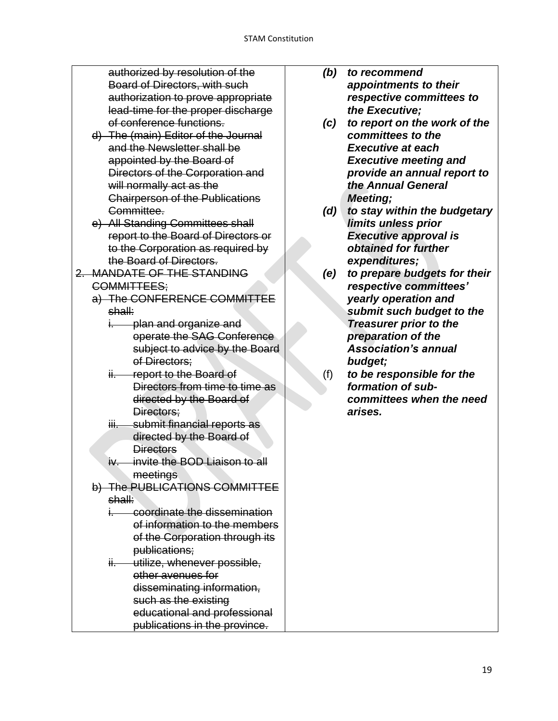authorized by resolution of the Board of Directors, with such authorization to prove appropriate lead-time for the proper discharge of conference functions.

- d) The (main) Editor of the Journal and the Newsletter shall be appointed by the Board of Directors of the Corporation and will normally act as the Chairperson of the Publications Committee.
- e) All Standing Committees shall report to the Board of Directors or to the Corporation as required by the Board of Directors.
- 2. MANDATE OF THE STANDING COMMITTEES;
	- a) The CONFERENCE COMMITTEE shall:
		- i. plan and organize and operate the SAG Conference subject to advice by the Board of Directors:
		- ii. report to the Board of Directors from time to time as directed by the Board of Directors;
		- iii. submit financial reports as directed by the Board of **Directors**
		- iv. invite the BOD Liaison to all meetings
	- b) The PUBLICATIONS COMMITTEE shall:
		- i. coordinate the dissemination of information to the members of the Corporation through its publications;
		- ii. utilize, whenever possible, other avenues for disseminating information, such as the existing educational and professional publications in the province.
- *(b) to recommend appointments to their respective committees to the Executive;*
- *(c) to report on the work of the committees to the Executive at each Executive meeting and provide an annual report to the Annual General Meeting;*
- *(d) to stay within the budgetary limits unless prior Executive approval is obtained for further expenditures;*
- *(e) to prepare budgets for their respective committees' yearly operation and submit such budget to the Treasurer prior to the preparation of the Association's annual budget;*
- (f) *to be responsible for the formation of subcommittees when the need arises.*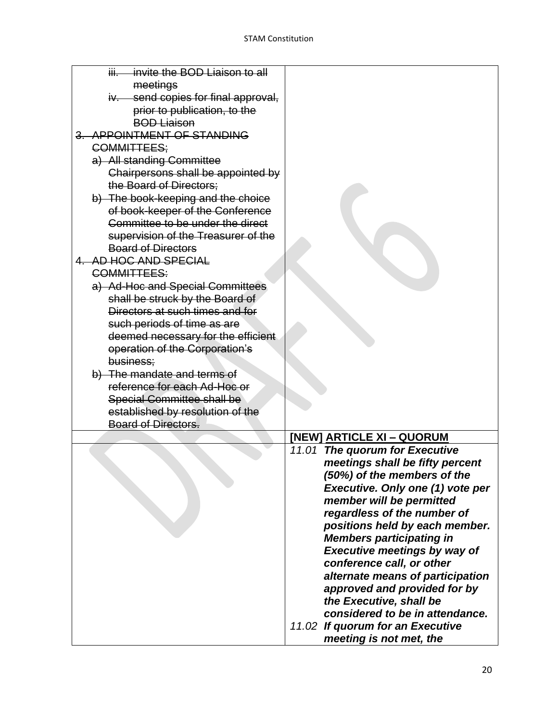| invite the BOD Liaison to all<br>iii |                                     |
|--------------------------------------|-------------------------------------|
| meetings                             |                                     |
| iv. send copies for final approval,  |                                     |
| prior to publication, to the         |                                     |
| <b>BOD Liaison</b>                   |                                     |
| 3. APPOINTMENT OF STANDING           |                                     |
| COMMITTEES;                          |                                     |
| a) All standing Committee            |                                     |
| Chairpersons shall be appointed by   |                                     |
| the Board of Directors:              |                                     |
| b) The book-keeping and the choice   |                                     |
| of book-keeper of the Conference     |                                     |
|                                      |                                     |
| Committee to be under the direct     |                                     |
| supervision of the Treasurer of the  |                                     |
| <b>Board of Directors</b>            |                                     |
| 4. AD HOC AND SPECIAL                |                                     |
| COMMITTEES:                          |                                     |
| a) Ad-Hoc and Special Committees     |                                     |
| shall be struck by the Board of      |                                     |
| Directors at such times and for      |                                     |
| such periods of time as are          |                                     |
| deemed necessary for the efficient   |                                     |
| operation of the Corporation's       |                                     |
| business:                            |                                     |
| b) The mandate and terms of          |                                     |
| reference for each Ad-Hoc or         |                                     |
| <b>Special Committee shall be</b>    |                                     |
| established by resolution of the     |                                     |
| <b>Board of Directors.</b>           |                                     |
|                                      | [NEW] ARTICLE XI - QUORUM           |
|                                      | 11.01 The quorum for Executive      |
|                                      | meetings shall be fifty percent     |
|                                      | (50%) of the members of the         |
|                                      | Executive. Only one (1) vote per    |
|                                      | member will be permitted            |
|                                      | regardless of the number of         |
|                                      | positions held by each member.      |
|                                      | <b>Members participating in</b>     |
|                                      | <b>Executive meetings by way of</b> |
|                                      | conference call, or other           |
|                                      | alternate means of participation    |
|                                      | approved and provided for by        |
|                                      | the Executive, shall be             |
|                                      | considered to be in attendance.     |
|                                      | 11.02 If quorum for an Executive    |
|                                      | meeting is not met, the             |
|                                      |                                     |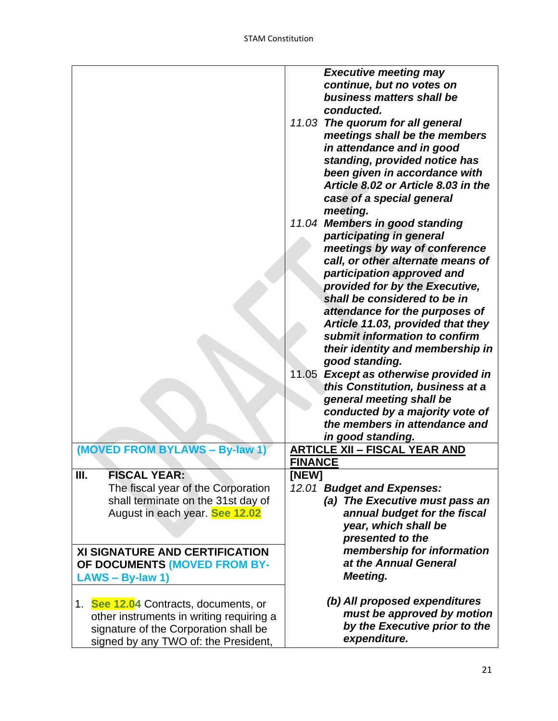|                                          | <b>Executive meeting may</b>                        |
|------------------------------------------|-----------------------------------------------------|
|                                          | continue, but no votes on                           |
|                                          | business matters shall be                           |
|                                          | conducted.                                          |
|                                          | 11.03 The quorum for all general                    |
|                                          | meetings shall be the members                       |
|                                          | in attendance and in good                           |
|                                          |                                                     |
|                                          | standing, provided notice has                       |
|                                          | been given in accordance with                       |
|                                          | Article 8.02 or Article 8.03 in the                 |
|                                          | case of a special general                           |
|                                          | meeting.                                            |
|                                          | 11.04 Members in good standing                      |
|                                          | participating in general                            |
|                                          | meetings by way of conference                       |
|                                          | call, or other alternate means of                   |
|                                          | participation approved and                          |
|                                          | provided for by the Executive,                      |
|                                          | shall be considered to be in                        |
|                                          | attendance for the purposes of                      |
|                                          | Article 11.03, provided that they                   |
|                                          | submit information to confirm                       |
|                                          |                                                     |
|                                          | their identity and membership in                    |
|                                          | good standing.                                      |
|                                          | 11.05<br><b>Except as otherwise provided in</b>     |
|                                          | this Constitution, business at a                    |
|                                          | general meeting shall be                            |
|                                          | conducted by a majority vote of                     |
|                                          | the members in attendance and                       |
|                                          | in good standing.                                   |
| (MOVED FROM BYLAWS - By-law 1)           | <b>ARTICLE XII - FISCAL YEAR AND</b>                |
|                                          | <b>FINANCE</b>                                      |
| <b>FISCAL YEAR:</b><br>Ш.                | [NEW]                                               |
| The fiscal year of the Corporation       | 12.01 Budget and Expenses:                          |
| shall terminate on the 31st day of       | (a) The Executive must pass an                      |
| August in each year. See 12.02           | annual budget for the fiscal                        |
|                                          | year, which shall be                                |
|                                          | presented to the                                    |
|                                          |                                                     |
| <b>XI SIGNATURE AND CERTIFICATION</b>    | membership for information<br>at the Annual General |
| OF DOCUMENTS (MOVED FROM BY-             |                                                     |
| $LANS - By-law 1)$                       | <b>Meeting.</b>                                     |
|                                          |                                                     |
| 1. See 12.04 Contracts, documents, or    | (b) All proposed expenditures                       |
| other instruments in writing requiring a | must be approved by motion                          |
| signature of the Corporation shall be    | by the Executive prior to the                       |
| signed by any TWO of: the President,     | expenditure.                                        |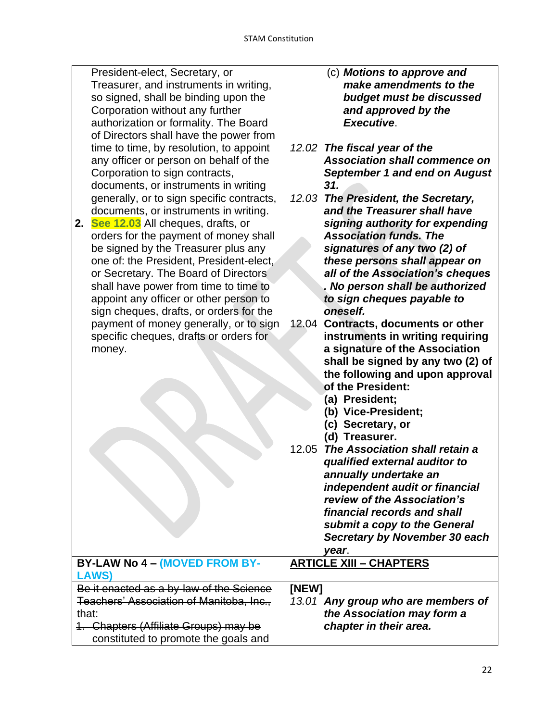| President-elect, Secretary, or            | (c) Motions to approve and                    |
|-------------------------------------------|-----------------------------------------------|
| Treasurer, and instruments in writing,    | make amendments to the                        |
| so signed, shall be binding upon the      | budget must be discussed                      |
| Corporation without any further           | and approved by the                           |
| authorization or formality. The Board     | Executive.                                    |
| of Directors shall have the power from    |                                               |
| time to time, by resolution, to appoint   | 12.02 The fiscal year of the                  |
| any officer or person on behalf of the    | <b>Association shall commence on</b>          |
| Corporation to sign contracts,            | <b>September 1 and end on August</b>          |
| documents, or instruments in writing      | 31.                                           |
| generally, or to sign specific contracts, | 12.03 The President, the Secretary,           |
| documents, or instruments in writing.     | and the Treasurer shall have                  |
| See 12.03 All cheques, drafts, or<br>2.   | signing authority for expending               |
| orders for the payment of money shall     | <b>Association funds. The</b>                 |
| be signed by the Treasurer plus any       | signatures of any two (2) of                  |
| one of: the President, President-elect,   | these persons shall appear on                 |
| or Secretary. The Board of Directors      | all of the Association's cheques              |
| shall have power from time to time to     | . No person shall be authorized               |
| appoint any officer or other person to    | to sign cheques payable to                    |
| sign cheques, drafts, or orders for the   | oneself.                                      |
| payment of money generally, or to sign    | 12.04<br><b>Contracts, documents or other</b> |
| specific cheques, drafts or orders for    | instruments in writing requiring              |
| money.                                    | a signature of the Association                |
|                                           | shall be signed by any two (2) of             |
|                                           | the following and upon approval               |
|                                           | of the President:                             |
|                                           | (a) President;                                |
|                                           | (b) Vice-President;                           |
|                                           | (c) Secretary, or                             |
|                                           | (d) Treasurer.                                |
|                                           | 12.05<br>The Association shall retain a       |
|                                           | qualified external auditor to                 |
|                                           | annually undertake an                         |
|                                           | independent audit or financial                |
|                                           | review of the Association's                   |
|                                           | financial records and shall                   |
|                                           | submit a copy to the General                  |
|                                           | Secretary by November 30 each                 |
|                                           | year.                                         |
| BY-LAW No 4 - (MOVED FROM BY-             | <b>ARTICLE XIII - CHAPTERS</b>                |
| <b>LAWS)</b>                              |                                               |
| Be it enacted as a by-law of the Science  | [NEW]                                         |
| Teachers' Association of Manitoba, Inc.,  | 13.01 Any group who are members of            |
| that:                                     | the Association may form a                    |
| 1. Chapters (Affiliate Groups) may be     | chapter in their area.                        |
| constituted to promote the goals and      |                                               |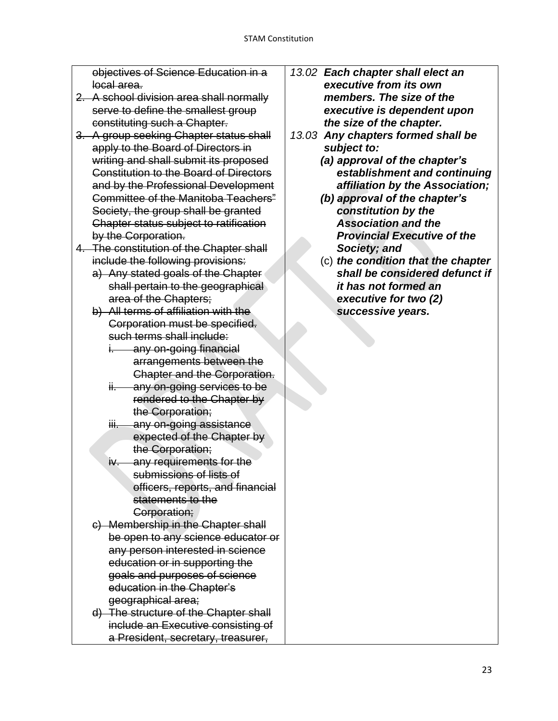objectives of Science Education in a local area.

- 2. A school division area shall normally serve to define the smallest group constituting such a Chapter.
- 3. A group seeking Chapter status shall apply to the Board of Directors in writing and shall submit its proposed Constitution to the Board of Directors and by the Professional Development Committee of the Manitoba Teachers" Society, the group shall be granted Chapter status subject to ratification by the Corporation.
- 4. The constitution of the Chapter shall include the following provisions:
	- a) Any stated goals of the Chapter shall pertain to the geographical area of the Chapters;
	- b) All terms of affiliation with the Corporation must be specified. such terms shall include:
		- i. any on-going financial arrangements between the Chapter and the Corporation.
		- ii. any on-going services to be rendered to the Chapter by the Corporation;
		- iii. any on-going assistance expected of the Chapter by the Corporation;
		- iv. any requirements for the submissions of lists of officers, reports, and financial statements to the Corporation;
	- c) Membership in the Chapter shall be open to any science educator or any person interested in science education or in supporting the goals and purposes of science education in the Chapter's geographical area;
	- d) The structure of the Chapter shall include an Executive consisting of a President, secretary, treasurer,
- *13.02 Each chapter shall elect an executive from its own members. The size of the executive is dependent upon the size of the chapter.*
- *13.03 Any chapters formed shall be subject to:*
	- *(a) approval of the chapter's establishment and continuing affiliation by the Association;*
	- *(b) approval of the chapter's constitution by the Association and the Provincial Executive of the Society; and*
	- (c) *the condition that the chapter shall be considered defunct if it has not formed an executive for two (2) successive years.*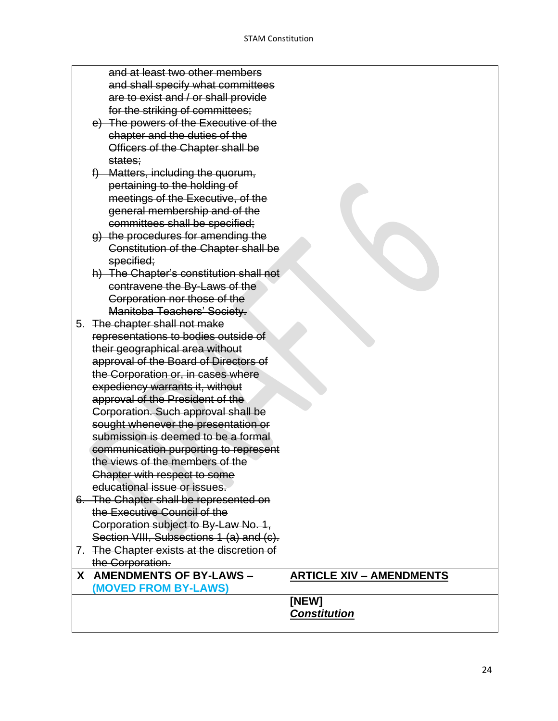|    | and at least two other members<br>and shall specify what committees<br>are to exist and / or shall provide<br>for the striking of committees;<br>e) The powers of the Executive of the<br>chapter and the duties of the<br>Officers of the Chapter shall be<br><del>states:</del> |                                 |
|----|-----------------------------------------------------------------------------------------------------------------------------------------------------------------------------------------------------------------------------------------------------------------------------------|---------------------------------|
|    | f) Matters, including the quorum,<br>pertaining to the holding of<br>meetings of the Executive, of the<br>general membership and of the<br>committees shall be specified;<br>g) the procedures for amending the<br>Constitution of the Chapter shall be<br>specified;             |                                 |
|    | h) The Chapter's constitution shall not<br>contravene the By-Laws of the<br>Corporation nor those of the<br>Manitoba Teachers' Society.                                                                                                                                           |                                 |
|    | 5. The chapter shall not make<br>representations to bodies outside of<br>their geographical area without<br>approval of the Board of Directors of<br>the Corporation or, in cases where<br>expediency warrants it, without<br>approval of the President of the                    |                                 |
|    | Corporation. Such approval shall be<br>sought whenever the presentation or<br>submission is deemed to be a formal<br>communication purporting to represent<br>the views of the members of the<br>Chapter with respect to some<br>educational issue or issues.                     |                                 |
| 7. | 6. The Chapter shall be represented on<br>the Executive Council of the<br>Corporation subject to By-Law No. 1,<br>Section VIII, Subsections 1 (a) and (c).<br>The Chapter exists at the discretion of                                                                             |                                 |
|    | the Corporation.                                                                                                                                                                                                                                                                  |                                 |
|    | X AMENDMENTS OF BY-LAWS -<br>(MOVED FROM BY-LAWS)                                                                                                                                                                                                                                 | <b>ARTICLE XIV - AMENDMENTS</b> |
|    |                                                                                                                                                                                                                                                                                   | [NEW]<br><b>Constitution</b>    |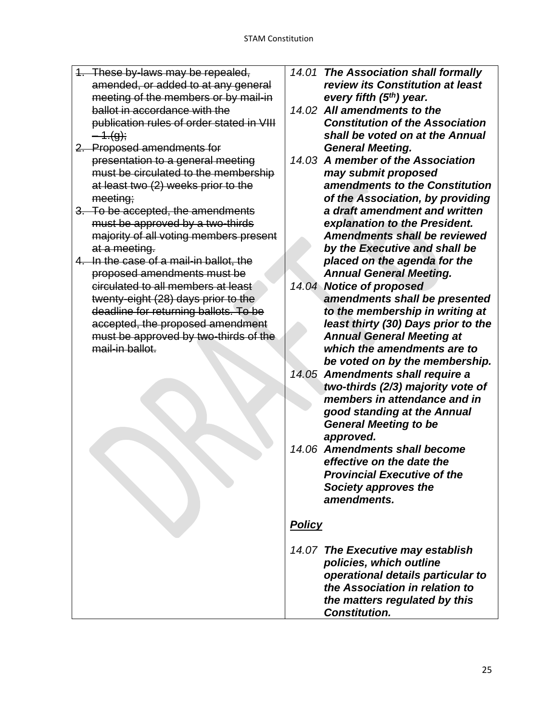- 1. These by-laws may be repealed, amended, or added to at any general meeting of the members or by mail-in ballot in accordance with the publication rules of order stated in VIII  $-4.(q)$ ;
- 2. Proposed amendments for presentation to a general meeting must be circulated to the membership at least two (2) weeks prior to the meeting;
- 3. To be accepted, the amendments must be approved by a two-thirds majority of all voting members present at a meeting.
- 4. In the case of a mail-in ballot, the proposed amendments must be circulated to all members at least twenty-eight (28) days prior to the deadline for returning ballots. To be accepted, the proposed amendment must be approved by two-thirds of the mail-in ballot.
- *14.01 The Association shall formally review its Constitution at least every fifth (5th) year.*
- *14.02 All amendments to the Constitution of the Association shall be voted on at the Annual General Meeting.*
- *14.03 A member of the Association may submit proposed amendments to the Constitution of the Association, by providing a draft amendment and written explanation to the President. Amendments shall be reviewed by the Executive and shall be placed on the agenda for the Annual General Meeting.*
- *14.04 Notice of proposed amendments shall be presented to the membership in writing at least thirty (30) Days prior to the Annual General Meeting at which the amendments are to be voted on by the membership.*
- *14.05 Amendments shall require a two-thirds (2/3) majority vote of members in attendance and in good standing at the Annual General Meeting to be approved.*
- *14.06 Amendments shall become effective on the date the Provincial Executive of the Society approves the amendments.*

# *Policy*

*14.07 The Executive may establish policies, which outline operational details particular to the Association in relation to the matters regulated by this Constitution.*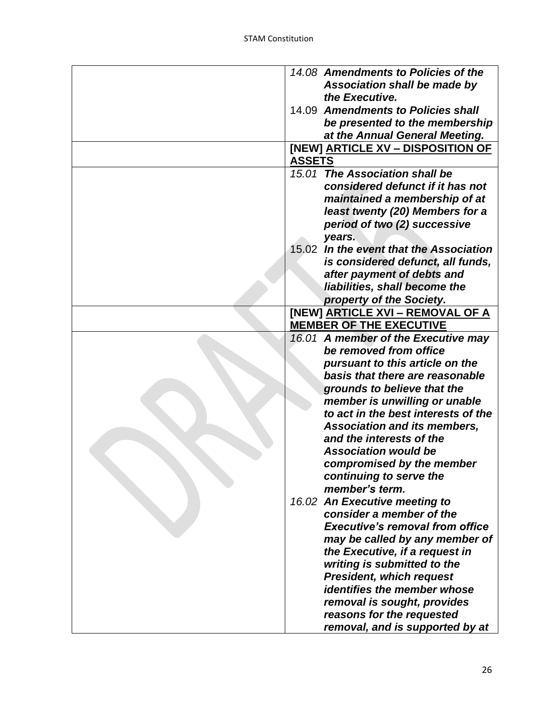| 14.08 Amendments to Policies of the     |
|-----------------------------------------|
| Association shall be made by            |
| the Executive.                          |
| 14.09 Amendments to Policies shall      |
| be presented to the membership          |
| at the Annual General Meeting.          |
| [NEW] ARTICLE XV - DISPOSITION OF       |
| <b>ASSETS</b>                           |
| 15.01 The Association shall be          |
| considered defunct if it has not        |
| maintained a membership of at           |
| least twenty (20) Members for a         |
|                                         |
| period of two (2) successive            |
| years.                                  |
| 15.02 In the event that the Association |
| is considered defunct, all funds,       |
| after payment of debts and              |
| liabilities, shall become the           |
| property of the Society.                |
| <b>[NEW] ARTICLE XVI - REMOVAL OF A</b> |
| <b>MEMBER OF THE EXECUTIVE</b>          |
| 16.01 A member of the Executive may     |
| be removed from office                  |
| pursuant to this article on the         |
| basis that there are reasonable         |
| grounds to believe that the             |
| member is unwilling or unable           |
| to act in the best interests of the     |
| <b>Association and its members,</b>     |
| and the interests of the                |
| <b>Association would be</b>             |
| compromised by the member               |
| continuing to serve the                 |
| member's term.                          |
| 16.02 An Executive meeting to           |
| consider a member of the                |
| <b>Executive's removal from office</b>  |
|                                         |
| may be called by any member of          |
| the Executive, if a request in          |
| writing is submitted to the             |
| <b>President, which request</b>         |
| identifies the member whose             |
| removal is sought, provides             |
| reasons for the requested               |
| removal, and is supported by at         |